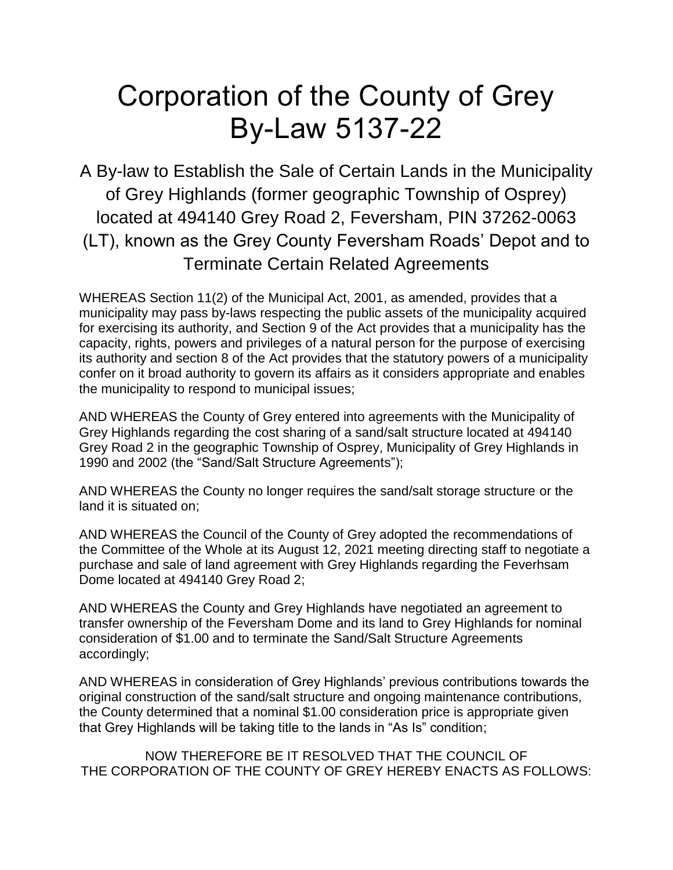## Corporation of the County of Grey By-Law 5137-22

A By-law to Establish the Sale of Certain Lands in the Municipality of Grey Highlands (former geographic Township of Osprey) located at 494140 Grey Road 2, Feversham, PIN 37262-0063 (LT), known as the Grey County Feversham Roads' Depot and to Terminate Certain Related Agreements

WHEREAS Section 11(2) of the Municipal Act, 2001, as amended, provides that a municipality may pass by-laws respecting the public assets of the municipality acquired for exercising its authority, and Section 9 of the Act provides that a municipality has the capacity, rights, powers and privileges of a natural person for the purpose of exercising its authority and section 8 of the Act provides that the statutory powers of a municipality confer on it broad authority to govern its affairs as it considers appropriate and enables the municipality to respond to municipal issues;

AND WHEREAS the County of Grey entered into agreements with the Municipality of Grey Highlands regarding the cost sharing of a sand/salt structure located at 494140 Grey Road 2 in the geographic Township of Osprey, Municipality of Grey Highlands in 1990 and 2002 (the "Sand/Salt Structure Agreements");

AND WHEREAS the County no longer requires the sand/salt storage structure or the land it is situated on;

AND WHEREAS the Council of the County of Grey adopted the recommendations of the Committee of the Whole at its August 12, 2021 meeting directing staff to negotiate a purchase and sale of land agreement with Grey Highlands regarding the Feverhsam Dome located at 494140 Grey Road 2;

AND WHEREAS the County and Grey Highlands have negotiated an agreement to transfer ownership of the Feversham Dome and its land to Grey Highlands for nominal consideration of \$1.00 and to terminate the Sand/Salt Structure Agreements accordingly;

AND WHEREAS in consideration of Grey Highlands' previous contributions towards the original construction of the sand/salt structure and ongoing maintenance contributions, the County determined that a nominal \$1.00 consideration price is appropriate given that Grey Highlands will be taking title to the lands in "As Is" condition;

NOW THEREFORE BE IT RESOLVED THAT THE COUNCIL OF THE CORPORATION OF THE COUNTY OF GREY HEREBY ENACTS AS FOLLOWS: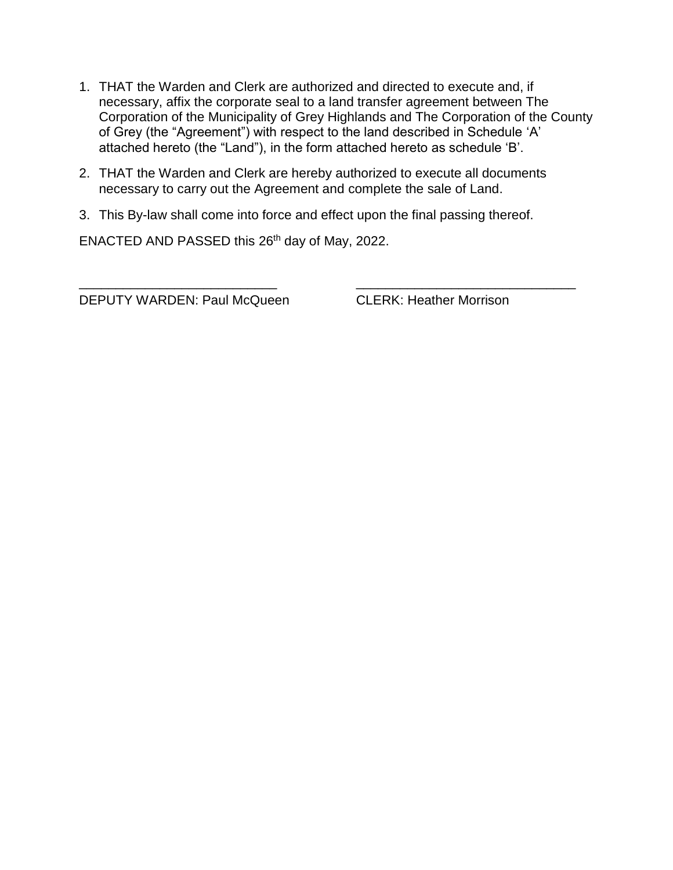- 1. THAT the Warden and Clerk are authorized and directed to execute and, if necessary, affix the corporate seal to a land transfer agreement between The Corporation of the Municipality of Grey Highlands and The Corporation of the County of Grey (the "Agreement") with respect to the land described in Schedule 'A' attached hereto (the "Land"), in the form attached hereto as schedule 'B'.
- 2. THAT the Warden and Clerk are hereby authorized to execute all documents necessary to carry out the Agreement and complete the sale of Land.

\_\_\_\_\_\_\_\_\_\_\_\_\_\_\_\_\_\_\_\_\_\_\_\_\_\_\_ \_\_\_\_\_\_\_\_\_\_\_\_\_\_\_\_\_\_\_\_\_\_\_\_\_\_\_\_\_\_

3. This By-law shall come into force and effect upon the final passing thereof.

ENACTED AND PASSED this 26th day of May, 2022.

DEPUTY WARDEN: Paul McQueen CLERK: Heather Morrison